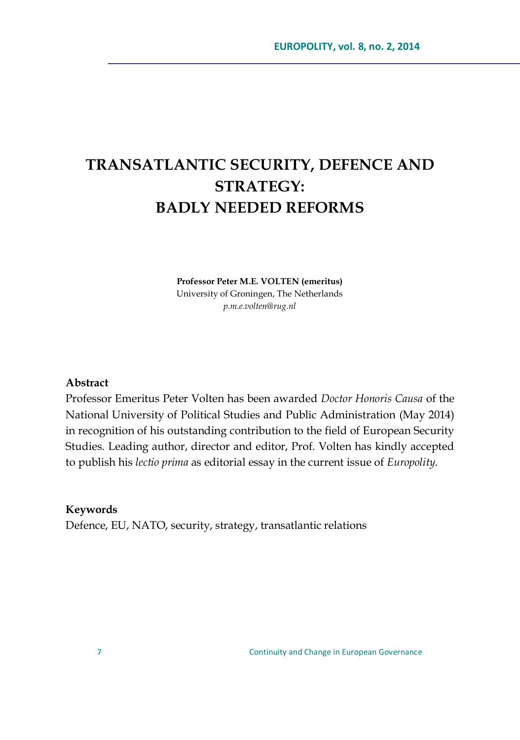## **TRANSATLANTIC SECURITY, DEFENCE AND STRATEGY: BADLY NEEDED REFORMS**

**Professor Peter M.E. VOLTEN (emeritus)** University of Groningen, The Netherlands *p.m.e.volten@rug.nl*

## **Abstract**

Professor Emeritus Peter Volten has been awarded *Doctor Honoris Causa* of the National University of Political Studies and Public Administration (May 2014) in recognition of his outstanding contribution to the field of European Security Studies. Leading author, director and editor, Prof. Volten has kindly accepted to publish his *lectio prima* as editorial essay in the current issue of *Europolity*.

## **Keywords**

Defence, EU, NATO, security, strategy, transatlantic relations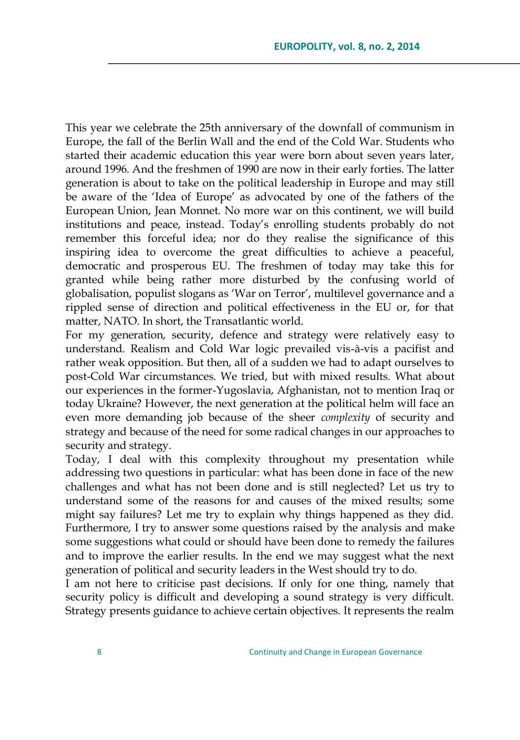This year we celebrate the 25th anniversary of the downfall of communism in Europe, the fall of the Berlin Wall and the end of the Cold War. Students who started their academic education this year were born about seven years later, around 1996. And the freshmen of 1990 are now in their early forties. The latter generation is about to take on the political leadership in Europe and may still be aware of the 'Idea of Europe' as advocated by one of the fathers of the European Union, Jean Monnet. No more war on this continent, we will build institutions and peace, instead. Today's enrolling students probably do not remember this forceful idea; nor do they realise the significance of this inspiring idea to overcome the great difficulties to achieve a peaceful, democratic and prosperous EU. The freshmen of today may take this for granted while being rather more disturbed by the confusing world of globalisation, populist slogans as 'War on Terror', multilevel governance and a rippled sense of direction and political effectiveness in the EU or, for that matter, NATO. In short, the Transatlantic world.

For my generation, security, defence and strategy were relatively easy to understand. Realism and Cold War logic prevailed vis-à-vis a pacifist and rather weak opposition. But then, all of a sudden we had to adapt ourselves to post-Cold War circumstances. We tried, but with mixed results. What about our experiences in the former-Yugoslavia, Afghanistan, not to mention Iraq or today Ukraine? However, the next generation at the political helm will face an even more demanding job because of the sheer *complexity* of security and strategy and because of the need for some radical changes in our approaches to security and strategy.

Today, I deal with this complexity throughout my presentation while addressing two questions in particular: what has been done in face of the new challenges and what has not been done and is still neglected? Let us try to understand some of the reasons for and causes of the mixed results; some might say failures? Let me try to explain why things happened as they did. Furthermore, I try to answer some questions raised by the analysis and make some suggestions what could or should have been done to remedy the failures and to improve the earlier results. In the end we may suggest what the next generation of political and security leaders in the West should try to do.

I am not here to criticise past decisions. If only for one thing, namely that security policy is difficult and developing a sound strategy is very difficult. Strategy presents guidance to achieve certain objectives. It represents the realm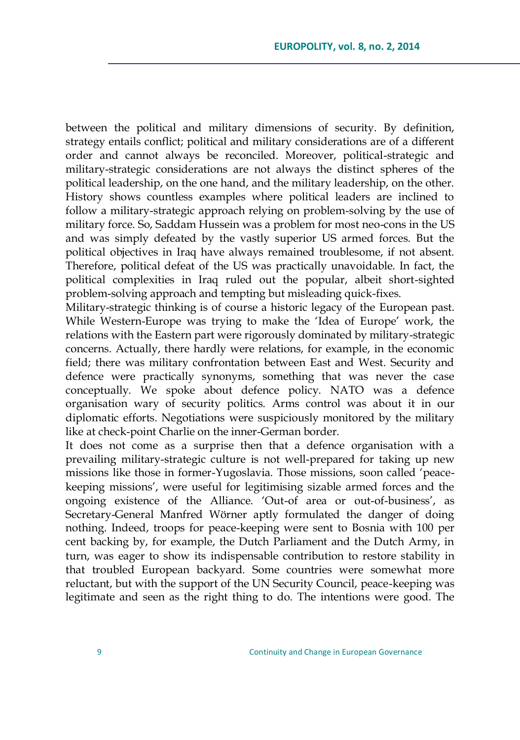between the political and military dimensions of security. By definition, strategy entails conflict; political and military considerations are of a different order and cannot always be reconciled. Moreover, political-strategic and military-strategic considerations are not always the distinct spheres of the political leadership, on the one hand, and the military leadership, on the other. History shows countless examples where political leaders are inclined to follow a military-strategic approach relying on problem-solving by the use of military force. So, Saddam Hussein was a problem for most neo-cons in the US and was simply defeated by the vastly superior US armed forces. But the political objectives in Iraq have always remained troublesome, if not absent. Therefore, political defeat of the US was practically unavoidable. In fact, the political complexities in Iraq ruled out the popular, albeit short-sighted problem-solving approach and tempting but misleading quick-fixes.

Military-strategic thinking is of course a historic legacy of the European past. While Western-Europe was trying to make the 'Idea of Europe' work, the relations with the Eastern part were rigorously dominated by military-strategic concerns. Actually, there hardly were relations, for example, in the economic field; there was military confrontation between East and West. Security and defence were practically synonyms, something that was never the case conceptually. We spoke about defence policy. NATO was a defence organisation wary of security politics. Arms control was about it in our diplomatic efforts. Negotiations were suspiciously monitored by the military like at check-point Charlie on the inner-German border.

It does not come as a surprise then that a defence organisation with a prevailing military-strategic culture is not well-prepared for taking up new missions like those in former-Yugoslavia. Those missions, soon called 'peacekeeping missions', were useful for legitimising sizable armed forces and the ongoing existence of the Alliance. ‗Out-of area or out-of-business', as Secretary-General Manfred Wörner aptly formulated the danger of doing nothing. Indeed, troops for peace-keeping were sent to Bosnia with 100 per cent backing by, for example, the Dutch Parliament and the Dutch Army, in turn, was eager to show its indispensable contribution to restore stability in that troubled European backyard. Some countries were somewhat more reluctant, but with the support of the UN Security Council, peace-keeping was legitimate and seen as the right thing to do. The intentions were good. The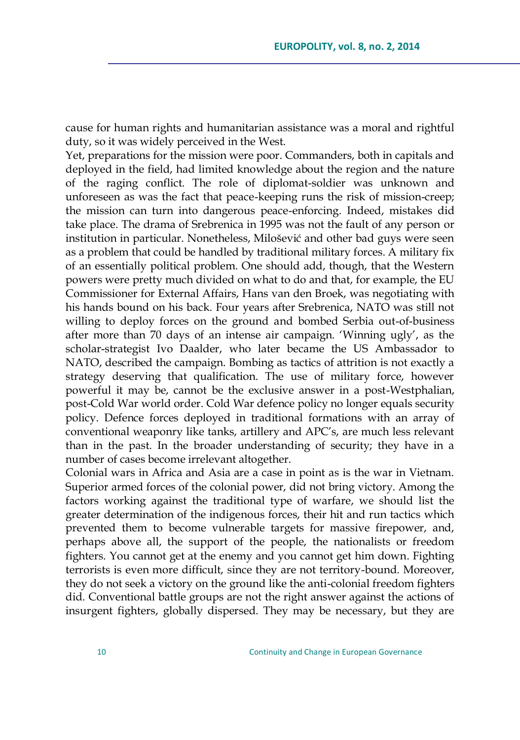cause for human rights and humanitarian assistance was a moral and rightful duty, so it was widely perceived in the West.

Yet, preparations for the mission were poor. Commanders, both in capitals and deployed in the field, had limited knowledge about the region and the nature of the raging conflict. The role of diplomat-soldier was unknown and unforeseen as was the fact that peace-keeping runs the risk of mission-creep; the mission can turn into dangerous peace-enforcing. Indeed, mistakes did take place. The drama of Srebrenica in 1995 was not the fault of any person or institution in particular. Nonetheless, Milošević and other bad guys were seen as a problem that could be handled by traditional military forces. A military fix of an essentially political problem. One should add, though, that the Western powers were pretty much divided on what to do and that, for example, the EU Commissioner for External Affairs, Hans van den Broek, was negotiating with his hands bound on his back. Four years after Srebrenica, NATO was still not willing to deploy forces on the ground and bombed Serbia out-of-business after more than 70 days of an intense air campaign. ‗Winning ugly', as the scholar-strategist Ivo Daalder, who later became the US Ambassador to NATO, described the campaign. Bombing as tactics of attrition is not exactly a strategy deserving that qualification. The use of military force, however powerful it may be, cannot be the exclusive answer in a post-Westphalian, post-Cold War world order. Cold War defence policy no longer equals security policy. Defence forces deployed in traditional formations with an array of conventional weaponry like tanks, artillery and APC's, are much less relevant than in the past. In the broader understanding of security; they have in a number of cases become irrelevant altogether.

Colonial wars in Africa and Asia are a case in point as is the war in Vietnam. Superior armed forces of the colonial power, did not bring victory. Among the factors working against the traditional type of warfare, we should list the greater determination of the indigenous forces, their hit and run tactics which prevented them to become vulnerable targets for massive firepower, and, perhaps above all, the support of the people, the nationalists or freedom fighters. You cannot get at the enemy and you cannot get him down. Fighting terrorists is even more difficult, since they are not territory-bound. Moreover, they do not seek a victory on the ground like the anti-colonial freedom fighters did. Conventional battle groups are not the right answer against the actions of insurgent fighters, globally dispersed. They may be necessary, but they are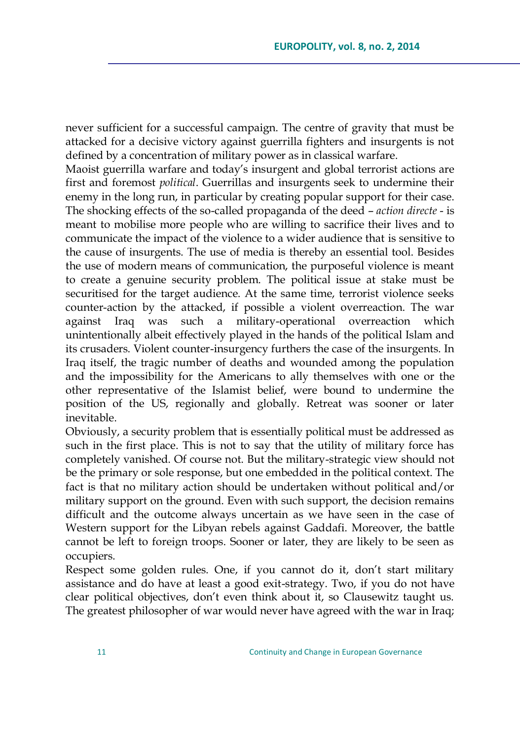never sufficient for a successful campaign. The centre of gravity that must be attacked for a decisive victory against guerrilla fighters and insurgents is not defined by a concentration of military power as in classical warfare.

Maoist guerrilla warfare and today's insurgent and global terrorist actions are first and foremost *political*. Guerrillas and insurgents seek to undermine their enemy in the long run, in particular by creating popular support for their case. The shocking effects of the so-called propaganda of the deed – *action directe* - is meant to mobilise more people who are willing to sacrifice their lives and to communicate the impact of the violence to a wider audience that is sensitive to the cause of insurgents. The use of media is thereby an essential tool. Besides the use of modern means of communication, the purposeful violence is meant to create a genuine security problem. The political issue at stake must be securitised for the target audience. At the same time, terrorist violence seeks counter-action by the attacked, if possible a violent overreaction. The war against Iraq was such a military-operational overreaction which unintentionally albeit effectively played in the hands of the political Islam and its crusaders. Violent counter-insurgency furthers the case of the insurgents. In Iraq itself, the tragic number of deaths and wounded among the population and the impossibility for the Americans to ally themselves with one or the other representative of the Islamist belief, were bound to undermine the position of the US, regionally and globally. Retreat was sooner or later inevitable.

Obviously, a security problem that is essentially political must be addressed as such in the first place. This is not to say that the utility of military force has completely vanished. Of course not. But the military-strategic view should not be the primary or sole response, but one embedded in the political context. The fact is that no military action should be undertaken without political and/or military support on the ground. Even with such support, the decision remains difficult and the outcome always uncertain as we have seen in the case of Western support for the Libyan rebels against Gaddafi. Moreover, the battle cannot be left to foreign troops. Sooner or later, they are likely to be seen as occupiers.

Respect some golden rules. One, if you cannot do it, don't start military assistance and do have at least a good exit-strategy. Two, if you do not have clear political objectives, don't even think about it, so Clausewitz taught us. The greatest philosopher of war would never have agreed with the war in Iraq;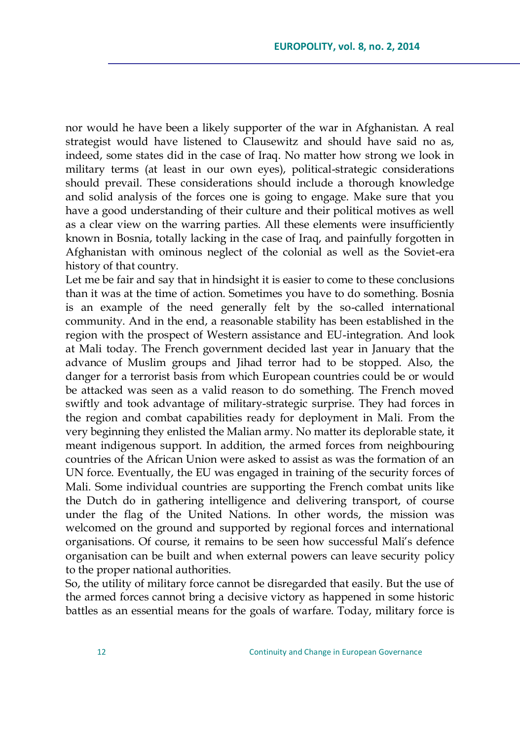nor would he have been a likely supporter of the war in Afghanistan. A real strategist would have listened to Clausewitz and should have said no as, indeed, some states did in the case of Iraq. No matter how strong we look in military terms (at least in our own eyes), political-strategic considerations should prevail. These considerations should include a thorough knowledge and solid analysis of the forces one is going to engage. Make sure that you have a good understanding of their culture and their political motives as well as a clear view on the warring parties. All these elements were insufficiently known in Bosnia, totally lacking in the case of Iraq, and painfully forgotten in Afghanistan with ominous neglect of the colonial as well as the Soviet-era history of that country.

Let me be fair and say that in hindsight it is easier to come to these conclusions than it was at the time of action. Sometimes you have to do something. Bosnia is an example of the need generally felt by the so-called international community. And in the end, a reasonable stability has been established in the region with the prospect of Western assistance and EU-integration. And look at Mali today. The French government decided last year in January that the advance of Muslim groups and Jihad terror had to be stopped. Also, the danger for a terrorist basis from which European countries could be or would be attacked was seen as a valid reason to do something. The French moved swiftly and took advantage of military-strategic surprise. They had forces in the region and combat capabilities ready for deployment in Mali. From the very beginning they enlisted the Malian army. No matter its deplorable state, it meant indigenous support. In addition, the armed forces from neighbouring countries of the African Union were asked to assist as was the formation of an UN force. Eventually, the EU was engaged in training of the security forces of Mali. Some individual countries are supporting the French combat units like the Dutch do in gathering intelligence and delivering transport, of course under the flag of the United Nations. In other words, the mission was welcomed on the ground and supported by regional forces and international organisations. Of course, it remains to be seen how successful Mali's defence organisation can be built and when external powers can leave security policy to the proper national authorities.

So, the utility of military force cannot be disregarded that easily. But the use of the armed forces cannot bring a decisive victory as happened in some historic battles as an essential means for the goals of warfare. Today, military force is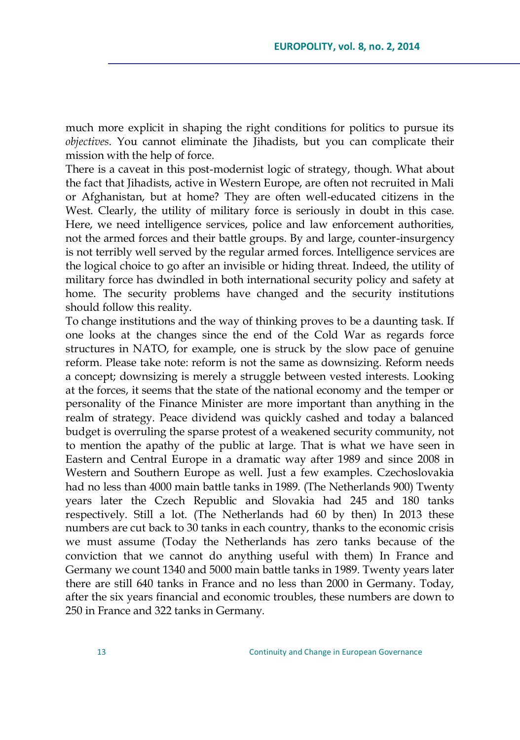much more explicit in shaping the right conditions for politics to pursue its *objectives*. You cannot eliminate the Jihadists, but you can complicate their mission with the help of force.

There is a caveat in this post-modernist logic of strategy, though. What about the fact that Jihadists, active in Western Europe, are often not recruited in Mali or Afghanistan, but at home? They are often well-educated citizens in the West. Clearly, the utility of military force is seriously in doubt in this case. Here, we need intelligence services, police and law enforcement authorities, not the armed forces and their battle groups. By and large, counter-insurgency is not terribly well served by the regular armed forces. Intelligence services are the logical choice to go after an invisible or hiding threat. Indeed, the utility of military force has dwindled in both international security policy and safety at home. The security problems have changed and the security institutions should follow this reality.

To change institutions and the way of thinking proves to be a daunting task. If one looks at the changes since the end of the Cold War as regards force structures in NATO, for example, one is struck by the slow pace of genuine reform. Please take note: reform is not the same as downsizing. Reform needs a concept; downsizing is merely a struggle between vested interests. Looking at the forces, it seems that the state of the national economy and the temper or personality of the Finance Minister are more important than anything in the realm of strategy. Peace dividend was quickly cashed and today a balanced budget is overruling the sparse protest of a weakened security community, not to mention the apathy of the public at large. That is what we have seen in Eastern and Central Europe in a dramatic way after 1989 and since 2008 in Western and Southern Europe as well. Just a few examples. Czechoslovakia had no less than 4000 main battle tanks in 1989. (The Netherlands 900) Twenty years later the Czech Republic and Slovakia had 245 and 180 tanks respectively. Still a lot. (The Netherlands had 60 by then) In 2013 these numbers are cut back to 30 tanks in each country, thanks to the economic crisis we must assume (Today the Netherlands has zero tanks because of the conviction that we cannot do anything useful with them) In France and Germany we count 1340 and 5000 main battle tanks in 1989. Twenty years later there are still 640 tanks in France and no less than 2000 in Germany. Today, after the six years financial and economic troubles, these numbers are down to 250 in France and 322 tanks in Germany.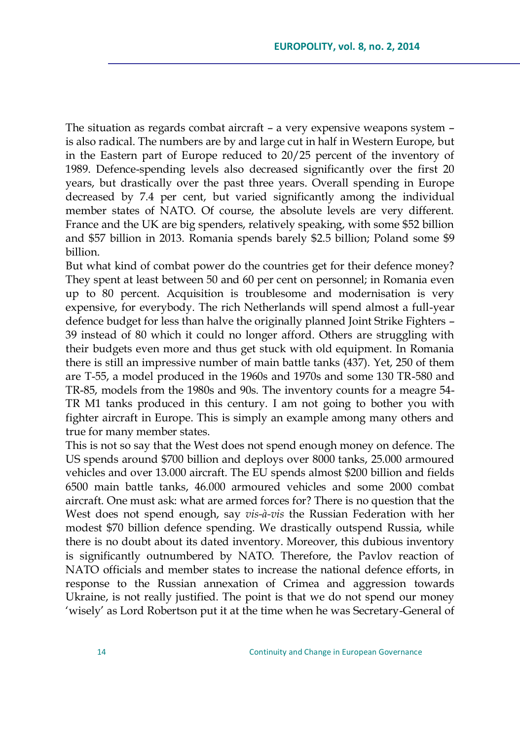The situation as regards combat aircraft – a very expensive weapons system – is also radical. The numbers are by and large cut in half in Western Europe, but in the Eastern part of Europe reduced to 20/25 percent of the inventory of 1989. Defence-spending levels also decreased significantly over the first 20 years, but drastically over the past three years. Overall spending in Europe decreased by 7.4 per cent, but varied significantly among the individual member states of NATO. Of course, the absolute levels are very different. France and the UK are big spenders, relatively speaking, with some \$52 billion and \$57 billion in 2013. Romania spends barely \$2.5 billion; Poland some \$9 billion.

But what kind of combat power do the countries get for their defence money? They spent at least between 50 and 60 per cent on personnel; in Romania even up to 80 percent. Acquisition is troublesome and modernisation is very expensive, for everybody. The rich Netherlands will spend almost a full-year defence budget for less than halve the originally planned Joint Strike Fighters – 39 instead of 80 which it could no longer afford. Others are struggling with their budgets even more and thus get stuck with old equipment. In Romania there is still an impressive number of main battle tanks (437). Yet, 250 of them are T-55, a model produced in the 1960s and 1970s and some 130 TR-580 and TR-85, models from the 1980s and 90s. The inventory counts for a meagre 54- TR M1 tanks produced in this century. I am not going to bother you with fighter aircraft in Europe. This is simply an example among many others and true for many member states.

This is not so say that the West does not spend enough money on defence. The US spends around \$700 billion and deploys over 8000 tanks, 25.000 armoured vehicles and over 13.000 aircraft. The EU spends almost \$200 billion and fields 6500 main battle tanks, 46.000 armoured vehicles and some 2000 combat aircraft. One must ask: what are armed forces for? There is no question that the West does not spend enough, say *vis-à-vis* the Russian Federation with her modest \$70 billion defence spending. We drastically outspend Russia, while there is no doubt about its dated inventory. Moreover, this dubious inventory is significantly outnumbered by NATO. Therefore, the Pavlov reaction of NATO officials and member states to increase the national defence efforts, in response to the Russian annexation of Crimea and aggression towards Ukraine, is not really justified. The point is that we do not spend our money ‗wisely' as Lord Robertson put it at the time when he was Secretary-General of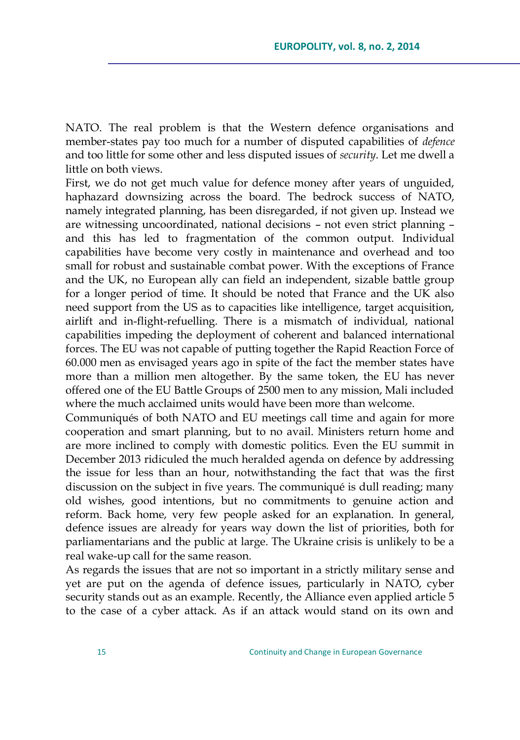NATO. The real problem is that the Western defence organisations and member-states pay too much for a number of disputed capabilities of *defence* and too little for some other and less disputed issues of *security*. Let me dwell a little on both views.

First, we do not get much value for defence money after years of unguided, haphazard downsizing across the board. The bedrock success of NATO, namely integrated planning, has been disregarded, if not given up. Instead we are witnessing uncoordinated, national decisions – not even strict planning – and this has led to fragmentation of the common output. Individual capabilities have become very costly in maintenance and overhead and too small for robust and sustainable combat power. With the exceptions of France and the UK, no European ally can field an independent, sizable battle group for a longer period of time. It should be noted that France and the UK also need support from the US as to capacities like intelligence, target acquisition, airlift and in-flight-refuelling. There is a mismatch of individual, national capabilities impeding the deployment of coherent and balanced international forces. The EU was not capable of putting together the Rapid Reaction Force of 60.000 men as envisaged years ago in spite of the fact the member states have more than a million men altogether. By the same token, the EU has never offered one of the EU Battle Groups of 2500 men to any mission, Mali included where the much acclaimed units would have been more than welcome.

Communiqués of both NATO and EU meetings call time and again for more cooperation and smart planning, but to no avail. Ministers return home and are more inclined to comply with domestic politics. Even the EU summit in December 2013 ridiculed the much heralded agenda on defence by addressing the issue for less than an hour, notwithstanding the fact that was the first discussion on the subject in five years. The communiqué is dull reading; many old wishes, good intentions, but no commitments to genuine action and reform. Back home, very few people asked for an explanation. In general, defence issues are already for years way down the list of priorities, both for parliamentarians and the public at large. The Ukraine crisis is unlikely to be a real wake-up call for the same reason.

As regards the issues that are not so important in a strictly military sense and yet are put on the agenda of defence issues, particularly in NATO, cyber security stands out as an example. Recently, the Alliance even applied article 5 to the case of a cyber attack. As if an attack would stand on its own and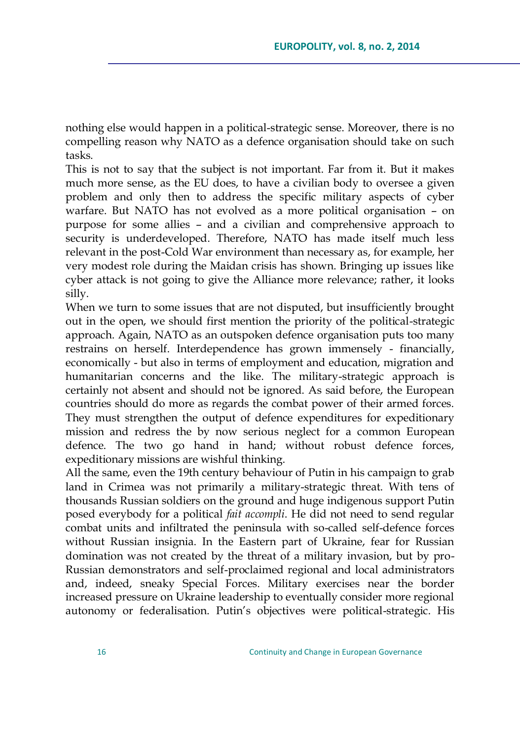nothing else would happen in a political-strategic sense. Moreover, there is no compelling reason why NATO as a defence organisation should take on such tasks.

This is not to say that the subject is not important. Far from it. But it makes much more sense, as the EU does, to have a civilian body to oversee a given problem and only then to address the specific military aspects of cyber warfare. But NATO has not evolved as a more political organisation – on purpose for some allies – and a civilian and comprehensive approach to security is underdeveloped. Therefore, NATO has made itself much less relevant in the post-Cold War environment than necessary as, for example, her very modest role during the Maidan crisis has shown. Bringing up issues like cyber attack is not going to give the Alliance more relevance; rather, it looks silly.

When we turn to some issues that are not disputed, but insufficiently brought out in the open, we should first mention the priority of the political-strategic approach. Again, NATO as an outspoken defence organisation puts too many restrains on herself. Interdependence has grown immensely - financially, economically - but also in terms of employment and education, migration and humanitarian concerns and the like. The military-strategic approach is certainly not absent and should not be ignored. As said before, the European countries should do more as regards the combat power of their armed forces. They must strengthen the output of defence expenditures for expeditionary mission and redress the by now serious neglect for a common European defence. The two go hand in hand; without robust defence forces, expeditionary missions are wishful thinking.

All the same, even the 19th century behaviour of Putin in his campaign to grab land in Crimea was not primarily a military-strategic threat. With tens of thousands Russian soldiers on the ground and huge indigenous support Putin posed everybody for a political *fait accompli*. He did not need to send regular combat units and infiltrated the peninsula with so-called self-defence forces without Russian insignia. In the Eastern part of Ukraine, fear for Russian domination was not created by the threat of a military invasion, but by pro-Russian demonstrators and self-proclaimed regional and local administrators and, indeed, sneaky Special Forces. Military exercises near the border increased pressure on Ukraine leadership to eventually consider more regional autonomy or federalisation. Putin's objectives were political-strategic. His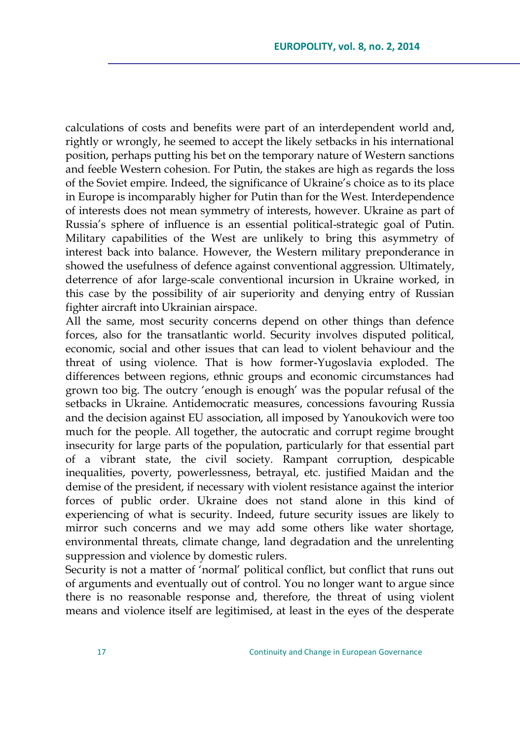calculations of costs and benefits were part of an interdependent world and, rightly or wrongly, he seemed to accept the likely setbacks in his international position, perhaps putting his bet on the temporary nature of Western sanctions and feeble Western cohesion. For Putin, the stakes are high as regards the loss of the Soviet empire. Indeed, the significance of Ukraine's choice as to its place in Europe is incomparably higher for Putin than for the West. Interdependence of interests does not mean symmetry of interests, however. Ukraine as part of Russia's sphere of influence is an essential political-strategic goal of Putin. Military capabilities of the West are unlikely to bring this asymmetry of interest back into balance. However, the Western military preponderance in showed the usefulness of defence against conventional aggression. Ultimately, deterrence of afor large-scale conventional incursion in Ukraine worked, in this case by the possibility of air superiority and denying entry of Russian fighter aircraft into Ukrainian airspace.

All the same, most security concerns depend on other things than defence forces, also for the transatlantic world. Security involves disputed political, economic, social and other issues that can lead to violent behaviour and the threat of using violence. That is how former-Yugoslavia exploded. The differences between regions, ethnic groups and economic circumstances had grown too big. The outcry ‗enough is enough' was the popular refusal of the setbacks in Ukraine. Antidemocratic measures, concessions favouring Russia and the decision against EU association, all imposed by Yanoukovich were too much for the people. All together, the autocratic and corrupt regime brought insecurity for large parts of the population, particularly for that essential part of a vibrant state, the civil society. Rampant corruption, despicable inequalities, poverty, powerlessness, betrayal, etc. justified Maidan and the demise of the president, if necessary with violent resistance against the interior forces of public order. Ukraine does not stand alone in this kind of experiencing of what is security. Indeed, future security issues are likely to mirror such concerns and we may add some others like water shortage, environmental threats, climate change, land degradation and the unrelenting suppression and violence by domestic rulers.

Security is not a matter of 'normal' political conflict, but conflict that runs out of arguments and eventually out of control. You no longer want to argue since there is no reasonable response and, therefore, the threat of using violent means and violence itself are legitimised, at least in the eyes of the desperate